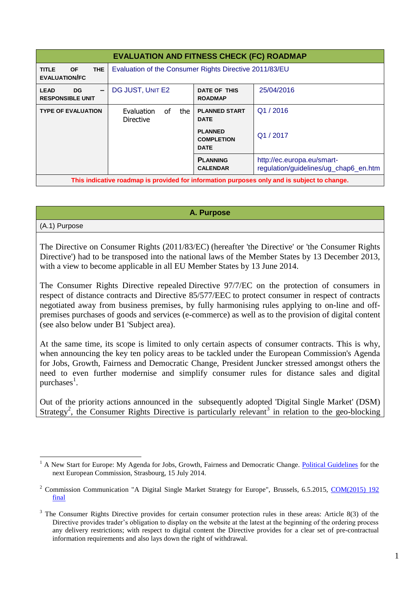| <b>EVALUATION AND FITNESS CHECK (FC) ROADMAP</b>                                            |                                                        |                                                    |                                                                     |
|---------------------------------------------------------------------------------------------|--------------------------------------------------------|----------------------------------------------------|---------------------------------------------------------------------|
| <b>THE</b><br><b>OF</b><br><b>TITLE</b><br><b>EVALUATION/FC</b>                             | Evaluation of the Consumer Rights Directive 2011/83/EU |                                                    |                                                                     |
| <b>LEAD</b><br><b>DG</b><br>$\qquad \qquad$<br><b>RESPONSIBLE UNIT</b>                      | DG JUST, UNIT E2                                       | DATE OF THIS<br><b>ROADMAP</b>                     | 25/04/2016                                                          |
| <b>TYPE OF EVALUATION</b>                                                                   | Evaluation<br>0f<br>the<br><b>Directive</b>            | <b>PLANNED START</b><br><b>DATE</b>                | Q1/2016                                                             |
|                                                                                             |                                                        | <b>PLANNED</b><br><b>COMPLETION</b><br><b>DATE</b> | Q1/2017                                                             |
|                                                                                             |                                                        | <b>PLANNING</b><br><b>CALENDAR</b>                 | http://ec.europa.eu/smart-<br>regulation/guidelines/ug_chap6_en.htm |
| This indicative roadmap is provided for information purposes only and is subject to change. |                                                        |                                                    |                                                                     |

**A. Purpose**

(A.1) Purpose

<u>.</u>

The [Directive on Consumer Rights](http://eur-lex.europa.eu/legal-content/EN/TXT/PDF/?uri=CELEX:32011L0083&rid=1) (2011/83/EC) (hereafter 'the Directive' or 'the Consumer Rights Directive') had to be transposed into the national laws of the Member States by 13 December 2013, with a view to become applicable in all EU Member States by 13 June 2014.

The Consumer Rights Directive repealed Directive 97/7/EC on the protection of consumers in respect of distance contracts and Directive 85/577/EEC to protect consumer in respect of contracts negotiated away from business premises, by fully harmonising rules applying to on-line and offpremises purchases of goods and services (e-commerce) as well as to the provision of digital content (see also below under B1 'Subject area).

At the same time, its scope is limited to only certain aspects of consumer contracts. This is why, when announcing the key ten policy areas to be tackled under the European Commission's Agenda for Jobs, Growth, Fairness and Democratic Change, President Juncker stressed amongst others the need to even further modernise and simplify consumer rules for distance sales and digital purchases<sup>1</sup>.

Out of the priority actions announced in the subsequently adopted 'Digital Single Market' (DSM) Strategy<sup>2</sup>, the Consumer Rights Directive is particularly relevant<sup>3</sup> in relation to the geo-blocking

<sup>1</sup> A New Start for Europe: My Agenda for Jobs, Growth, Fairness and Democratic Change. [Political Guidelines](http://ec.europa.eu/priorities/docs/pg_en.pdf) for the next European Commission, Strasbourg, 15 July 2014.

<sup>&</sup>lt;sup>2</sup> Commission Communication "A Digital Single Market Strategy for Europe", Brussels, 6.5.2015, COM(2015) 192 [final](http://eur-lex.europa.eu/legal-content/EN/TXT/PDF/?uri=CELEX:52015DC0192&from=EN)

<sup>&</sup>lt;sup>3</sup> The Consumer Rights Directive provides for certain consumer protection rules in these areas: Article 8(3) of the Directive provides trader's obligation to display on the website at the latest at the beginning of the ordering process any delivery restrictions; with respect to digital content the Directive provides for a clear set of pre-contractual information requirements and also lays down the right of withdrawal.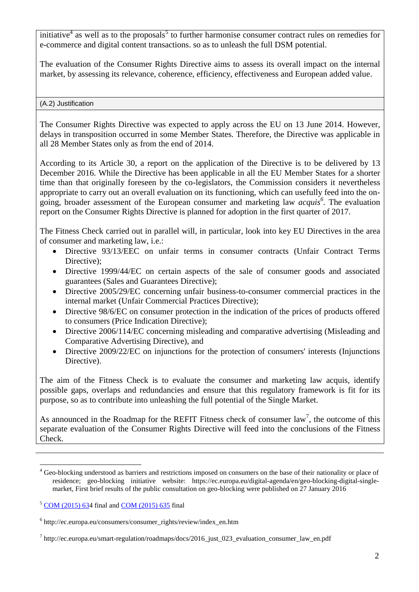initiative<sup>4</sup> as well as to the proposals<sup>5</sup> to further harmonise consumer contract rules on remedies for e-commerce and digital content transactions. so as to unleash the full DSM potential.

The evaluation of the Consumer Rights Directive aims to assess its overall impact on the internal market, by assessing its relevance, coherence, efficiency, effectiveness and European added value.

### (A.2) Justification

The Consumer Rights Directive was expected to apply across the EU on 13 June 2014. However, delays in transposition occurred in some Member States. Therefore, the Directive was applicable in all 28 Member States only as from the end of 2014.

According to its Article 30, a report on the application of the Directive is to be delivered by 13 December 2016. While the Directive has been applicable in all the EU Member States for a shorter time than that originally foreseen by the co-legislators, the Commission considers it nevertheless appropriate to carry out an overall evaluation on its functioning, which can usefully feed into the ongoing, broader assessment of the European consumer and marketing law *acquis<sup>6</sup> .* The evaluation report on the Consumer Rights Directive is planned for adoption in the first quarter of 2017.

The Fitness Check carried out in parallel will, in particular, look into key EU Directives in the area of consumer and marketing law, i.e.:

- Directive 93/13/EEC on unfair terms in consumer contracts (Unfair Contract Terms Directive):
- Directive 1999/44/EC on certain aspects of the sale of consumer goods and associated guarantees (Sales and Guarantees Directive);
- Directive 2005/29/EC concerning unfair business-to-consumer commercial practices in the internal market (Unfair Commercial Practices Directive);
- Directive 98/6/EC on consumer protection in the indication of the prices of products offered to consumers (Price Indication Directive);
- Directive 2006/114/EC concerning misleading and comparative advertising (Misleading and Comparative Advertising Directive), and
- Directive 2009/22/EC on injunctions for the protection of consumers' interests (Injunctions Directive).

The aim of the Fitness Check is to evaluate the consumer and marketing law acquis, identify possible gaps, overlaps and redundancies and ensure that this regulatory framework is fit for its purpose, so as to contribute into unleashing the full potential of the Single Market.

As announced in the Roadmap for the REFIT Fitness check of consumer  $law<sup>7</sup>$ , the outcome of this separate evaluation of the Consumer Rights Directive will feed into the conclusions of the Fitness Check.

1

<sup>4</sup> Geo-blocking understood as barriers and restrictions imposed on consumers on the base of their nationality or place of residence; geo-blocking initiative website: https://ec.europa.eu/digital-agenda/en/geo-blocking-digital-singlemarket, First brief results of the public consultation on geo-blocking were published on 27 January 2016

<sup>5</sup> [COM \(2015\) 634](http://ec.europa.eu/justice/contract/files/digital_contracts/dsm_digital_content_en.pdf) final and [COM \(2015\) 635](https://ec.europa.eu/transparency/regdoc/rep/1/2015/EN/1-2015-635-EN-F1-1.PDF) final

<sup>6</sup> http://ec.europa.eu/consumers/consumer\_rights/review/index\_en.htm

<sup>&</sup>lt;sup>7</sup> http://ec.europa.eu/smart-regulation/roadmaps/docs/2016\_just\_023\_evaluation\_consumer\_law\_en.pdf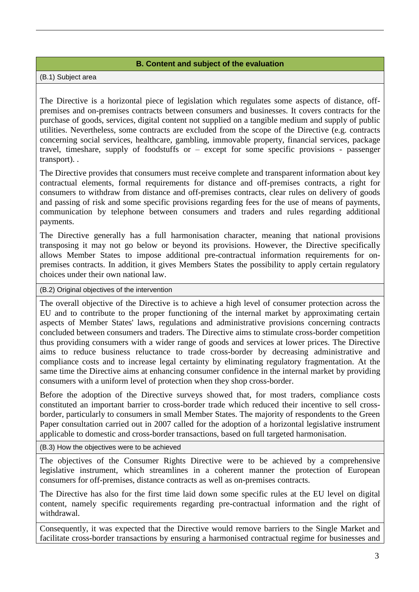# **B. Content and subject of the evaluation**

(B.1) Subject area

The Directive is a horizontal piece of legislation which regulates some aspects of distance, offpremises and on-premises contracts between consumers and businesses. It covers contracts for the purchase of goods, services, digital content not supplied on a tangible medium and supply of public utilities. Nevertheless, some contracts are excluded from the scope of the Directive (e.g. contracts concerning social services, healthcare, gambling, immovable property, financial services, package travel, timeshare, supply of foodstuffs or – except for some specific provisions - passenger transport). .

The Directive provides that consumers must receive complete and transparent information about key contractual elements, formal requirements for distance and off-premises contracts, a right for consumers to withdraw from distance and off-premises contracts, clear rules on delivery of goods and passing of risk and some specific provisions regarding fees for the use of means of payments, communication by telephone between consumers and traders and rules regarding additional payments.

The Directive generally has a full harmonisation character, meaning that national provisions transposing it may not go below or beyond its provisions. However, the Directive specifically allows Member States to impose additional pre-contractual information requirements for onpremises contracts. In addition, it gives Members States the possibility to apply certain regulatory choices under their own national law.

(B.2) Original objectives of the intervention

The overall objective of the Directive is to achieve a high level of consumer protection across the EU and to contribute to the proper functioning of the internal market by approximating certain aspects of Member States' laws, regulations and administrative provisions concerning contracts concluded between consumers and traders. The Directive aims to stimulate cross-border competition thus providing consumers with a wider range of goods and services at lower prices. The Directive aims to reduce business reluctance to trade cross-border by decreasing administrative and compliance costs and to increase legal certainty by eliminating regulatory fragmentation. At the same time the Directive aims at enhancing consumer confidence in the internal market by providing consumers with a uniform level of protection when they shop cross-border.

Before the adoption of the Directive surveys showed that, for most traders, compliance costs constituted an important barrier to cross-border trade which reduced their incentive to sell crossborder, particularly to consumers in small Member States. The majority of respondents to the Green Paper consultation carried out in 2007 called for the adoption of a horizontal legislative instrument applicable to domestic and cross-border transactions, based on full targeted harmonisation.

(B.3) How the objectives were to be achieved

The objectives of the Consumer Rights Directive were to be achieved by a comprehensive legislative instrument, which streamlines in a coherent manner the protection of European consumers for off-premises, distance contracts as well as on-premises contracts.

The Directive has also for the first time laid down some specific rules at the EU level on digital content, namely specific requirements regarding pre-contractual information and the right of withdrawal.

Consequently, it was expected that the Directive would remove barriers to the Single Market and facilitate cross-border transactions by ensuring a harmonised contractual regime for businesses and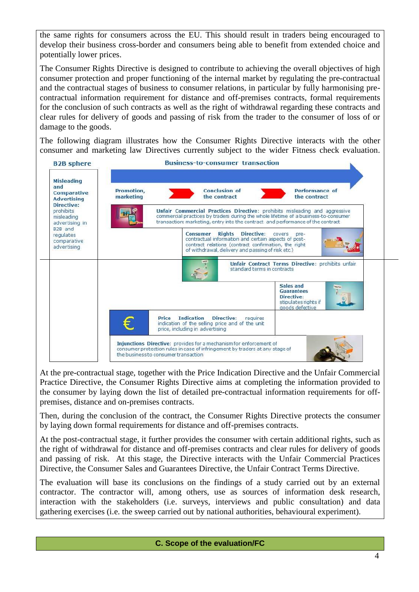the same rights for consumers across the EU. This should result in traders being encouraged to develop their business cross-border and consumers being able to benefit from extended choice and potentially lower prices.

The Consumer Rights Directive is designed to contribute to achieving the overall objectives of high consumer protection and proper functioning of the internal market by regulating the pre-contractual and the contractual stages of business to consumer relations, in particular by fully harmonising precontractual information requirement for distance and off-premises contracts, formal requirements for the conclusion of such contracts as well as the right of withdrawal regarding these contracts and clear rules for delivery of goods and passing of risk from the trader to the consumer of loss of or damage to the goods.

The following diagram illustrates how the Consumer Rights Directive interacts with the other consumer and marketing law Directives currently subject to the wider Fitness check evaluation.



At the pre-contractual stage, together with the Price Indication Directive and the Unfair Commercial Practice Directive, the Consumer Rights Directive aims at completing the information provided to the consumer by laying down the list of detailed pre-contractual information requirements for offpremises, distance and on-premises contracts.

Then, during the conclusion of the contract, the Consumer Rights Directive protects the consumer by laying down formal requirements for distance and off-premises contracts.

At the post-contractual stage, it further provides the consumer with certain additional rights, such as the right of withdrawal for distance and off-premises contracts and clear rules for delivery of goods and passing of risk. At this stage, the Directive interacts with the Unfair Commercial Practices Directive, the Consumer Sales and Guarantees Directive, the Unfair Contract Terms Directive.

The evaluation will base its conclusions on the findings of a study carried out by an external contractor. The contractor will, among others, use as sources of information desk research, interaction with the stakeholders (i.e. surveys, interviews and public consultation) and data gathering exercises (i.e. the sweep carried out by national authorities, behavioural experiment).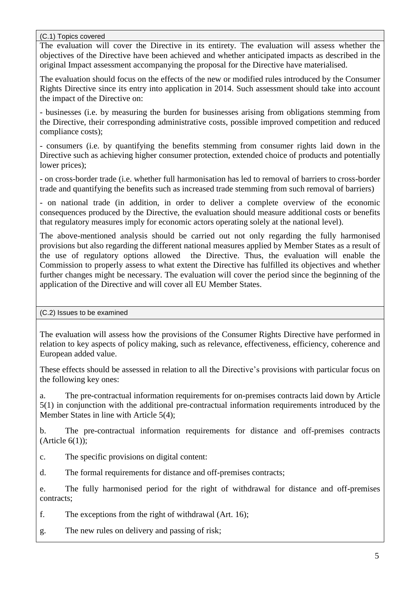## (C.1) Topics covered

The evaluation will cover the Directive in its entirety. The evaluation will assess whether the objectives of the Directive have been achieved and whether anticipated impacts as described in the original Impact assessment accompanying the proposal for the Directive have materialised.

The evaluation should focus on the effects of the new or modified rules introduced by the Consumer Rights Directive since its entry into application in 2014. Such assessment should take into account the impact of the Directive on:

- businesses (i.e. by measuring the burden for businesses arising from obligations stemming from the Directive, their corresponding administrative costs, possible improved competition and reduced compliance costs);

- consumers (i.e. by quantifying the benefits stemming from consumer rights laid down in the Directive such as achieving higher consumer protection, extended choice of products and potentially lower prices);

- on cross-border trade (i.e. whether full harmonisation has led to removal of barriers to cross-border trade and quantifying the benefits such as increased trade stemming from such removal of barriers)

- on national trade (in addition, in order to deliver a complete overview of the economic consequences produced by the Directive, the evaluation should measure additional costs or benefits that regulatory measures imply for economic actors operating solely at the national level).

The above-mentioned analysis should be carried out not only regarding the fully harmonised provisions but also regarding the different national measures applied by Member States as a result of the use of regulatory options allowed the Directive. Thus, the evaluation will enable the Commission to properly assess to what extent the Directive has fulfilled its objectives and whether further changes might be necessary. The evaluation will cover the period since the beginning of the application of the Directive and will cover all EU Member States.

(C.2) Issues to be examined

The evaluation will assess how the provisions of the Consumer Rights Directive have performed in relation to key aspects of policy making, such as relevance, effectiveness, efficiency, coherence and European added value.

These effects should be assessed in relation to all the Directive's provisions with particular focus on the following key ones:

a. The pre-contractual information requirements for on-premises contracts laid down by Article 5(1) in conjunction with the additional pre-contractual information requirements introduced by the Member States in line with Article 5(4);

b. The pre-contractual information requirements for distance and off-premises contracts  $(A<sup>rt</sup>icle 6(1));$ 

c. The specific provisions on digital content:

d. The formal requirements for distance and off-premises contracts;

e. The fully harmonised period for the right of withdrawal for distance and off-premises contracts;

f. The exceptions from the right of withdrawal (Art. 16);

g. The new rules on delivery and passing of risk;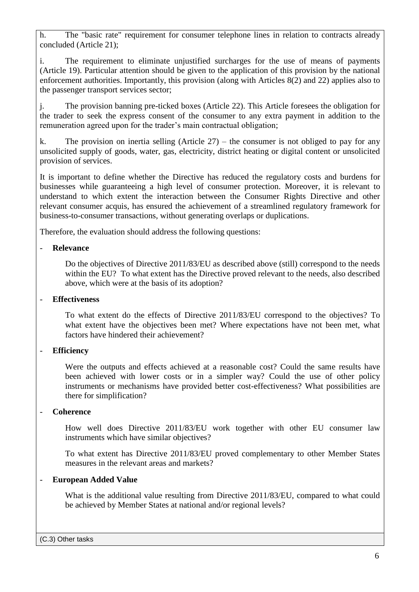h. The "basic rate" requirement for consumer telephone lines in relation to contracts already concluded (Article 21);

i. The requirement to eliminate unjustified surcharges for the use of means of payments (Article 19). Particular attention should be given to the application of this provision by the national enforcement authorities. Importantly, this provision (along with Articles 8(2) and 22) applies also to the passenger transport services sector;

j. The provision banning pre-ticked boxes (Article 22). This Article foresees the obligation for the trader to seek the express consent of the consumer to any extra payment in addition to the remuneration agreed upon for the trader's main contractual obligation;

k. The provision on inertia selling (Article  $27$ ) – the consumer is not obliged to pay for any unsolicited supply of goods, water, gas, electricity, district heating or digital content or unsolicited provision of services.

It is important to define whether the Directive has reduced the regulatory costs and burdens for businesses while guaranteeing a high level of consumer protection. Moreover, it is relevant to understand to which extent the interaction between the Consumer Rights Directive and other relevant consumer acquis, has ensured the achievement of a streamlined regulatory framework for business-to-consumer transactions, without generating overlaps or duplications.

Therefore, the evaluation should address the following questions:

## - **Relevance**

Do the objectives of Directive 2011/83/EU as described above (still) correspond to the needs within the EU? To what extent has the Directive proved relevant to the needs, also described above, which were at the basis of its adoption?

## - **Effectiveness**

To what extent do the effects of Directive 2011/83/EU correspond to the objectives? To what extent have the objectives been met? Where expectations have not been met, what factors have hindered their achievement?

# - **Efficiency**

Were the outputs and effects achieved at a reasonable cost? Could the same results have been achieved with lower costs or in a simpler way? Could the use of other policy instruments or mechanisms have provided better cost-effectiveness? What possibilities are there for simplification?

# - **Coherence**

How well does Directive 2011/83/EU work together with other EU consumer law instruments which have similar objectives?

To what extent has Directive 2011/83/EU proved complementary to other Member States measures in the relevant areas and markets?

# - **European Added Value**

What is the additional value resulting from Directive 2011/83/EU, compared to what could be achieved by Member States at national and/or regional levels?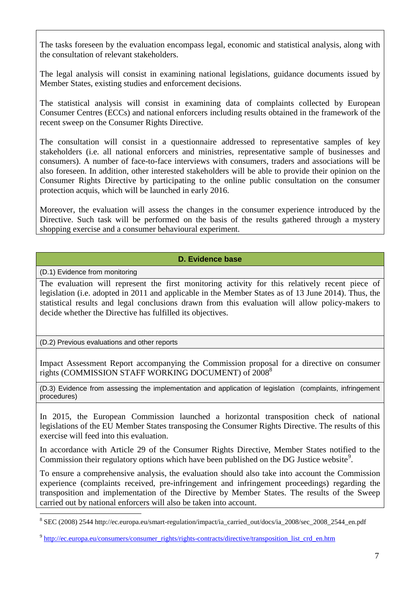The tasks foreseen by the evaluation encompass legal, economic and statistical analysis, along with the consultation of relevant stakeholders.

The legal analysis will consist in examining national legislations, guidance documents issued by Member States, existing studies and enforcement decisions.

The statistical analysis will consist in examining data of complaints collected by European Consumer Centres (ECCs) and national enforcers including results obtained in the framework of the recent sweep on the Consumer Rights Directive.

The consultation will consist in a questionnaire addressed to representative samples of key stakeholders (i.e. all national enforcers and ministries, representative sample of businesses and consumers). A number of face-to-face interviews with consumers, traders and associations will be also foreseen. In addition, other interested stakeholders will be able to provide their opinion on the Consumer Rights Directive by participating to the online public consultation on the consumer protection acquis, which will be launched in early 2016.

Moreover, the evaluation will assess the changes in the consumer experience introduced by the Directive. Such task will be performed on the basis of the results gathered through a mystery shopping exercise and a consumer behavioural experiment.

# **D. Evidence base**

(D.1) Evidence from monitoring

<u>.</u>

The evaluation will represent the first monitoring activity for this relatively recent piece of legislation (i.e. adopted in 2011 and applicable in the Member States as of 13 June 2014). Thus, the statistical results and legal conclusions drawn from this evaluation will allow policy-makers to decide whether the Directive has fulfilled its objectives.

(D.2) Previous evaluations and other reports

Impact Assessment Report accompanying the Commission proposal for a directive on consumer rights (COMMISSION STAFF WORKING DOCUMENT) of 2008<sup>8</sup>

(D.3) Evidence from assessing the implementation and application of legislation (complaints, infringement procedures)

In 2015, the European Commission launched a horizontal transposition check of national legislations of the EU Member States transposing the Consumer Rights Directive. The results of this exercise will feed into this evaluation.

In accordance with Article 29 of the Consumer Rights Directive, Member States notified to the Commission their regulatory options which have been published on the DG Justice website<sup>9</sup>.

To ensure a comprehensive analysis, the evaluation should also take into account the Commission experience (complaints received, pre-infringement and infringement proceedings) regarding the transposition and implementation of the Directive by Member States. The results of the Sweep carried out by national enforcers will also be taken into account.

<sup>8</sup> SEC (2008) 2544 http://ec.europa.eu/smart-regulation/impact/ia\_carried\_out/docs/ia\_2008/sec\_2008\_2544\_en.pdf

<sup>&</sup>lt;sup>9</sup> [http://ec.europa.eu/consumers/consumer\\_rights/rights-contracts/directive/transposition\\_list\\_crd\\_en.htm](http://ec.europa.eu/consumers/consumer_rights/rights-contracts/directive/transposition_list_crd_en.htm)